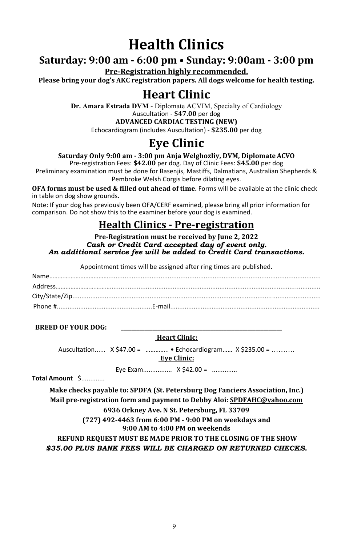# **Health Clinics**

### **Saturday: 9:00 am - 6:00 pm • Sunday: 9:00am - 3:00 pm**

**Pre-Registration highly recommended.** 

Please bring your dog's AKC registration papers. All dogs welcome for health testing.

## **Heart Clinic**

**Dr. Amara Estrada DVM** - Diplomate ACVIM, Specialty of Cardiology Auscultation - **\$47.00** per dog

**ADVANCED CARDIAC TESTING (NEW)**

Echocardiogram (includes Auscultation) - **\$235.00** per dog

## **Eye Clinic**

#### **Saturday Only 9:00 am - 3:00 pm Anja Welghozliy, DVM, Diplomate ACVO**

Pre-registration Fees: **\$42.00** per dog. Day of Clinic Fees: **\$45.00** per dog

Preliminary examination must be done for Basenjis, Mastiffs, Dalmatians, Australian Shepherds & Pembroke Welsh Corgis before dilating eyes.

**OFA forms must be used & filled out ahead of time.** Forms will be available at the clinic check in table on dog show grounds.

Note: If your dog has previously been OFA/CERF examined, please bring all prior information for comparison. Do not show this to the examiner before your dog is examined.

### **Health Clinics - Pre-registration**

#### **Pre-Registration must be received by June 2, 2022** *Cash or Credit Card accepted day of event only. An additional service fee will be added to Credit Card transactions.*

Appointment times will be assigned after ring times are published.

#### **BREED OF VOUR DOG:**

#### **Heart Clinic:**

Auscultation...... X \$47.00 = .............. • Echocardiogram...... X \$235.00 = ......... **Eye Clinic:**

Eye Exam................ X \$42.00 = ..............

**Total Amount** \$.............

**Make checks payable to: SPDFA (St. Petersburg Dog Fanciers Association, Inc.) Mail pre-registration form and payment to Debby Aloi: SPDFAHC@yahoo.com 6936 Orkney Ave. N St. Petersburg, FL 33709**

> **(727) 492-4463 from 6:00 PM - 9:00 PM on weekdays and 9:00 AM to 4:00 PM on weekends**

**REFUND REQUEST MUST BE MADE PRIOR TO THE CLOSING OF THE SHOW** *\$35.00 PLUS BANK FEES WILL BE CHARGED ON RETURNED CHECKS.*